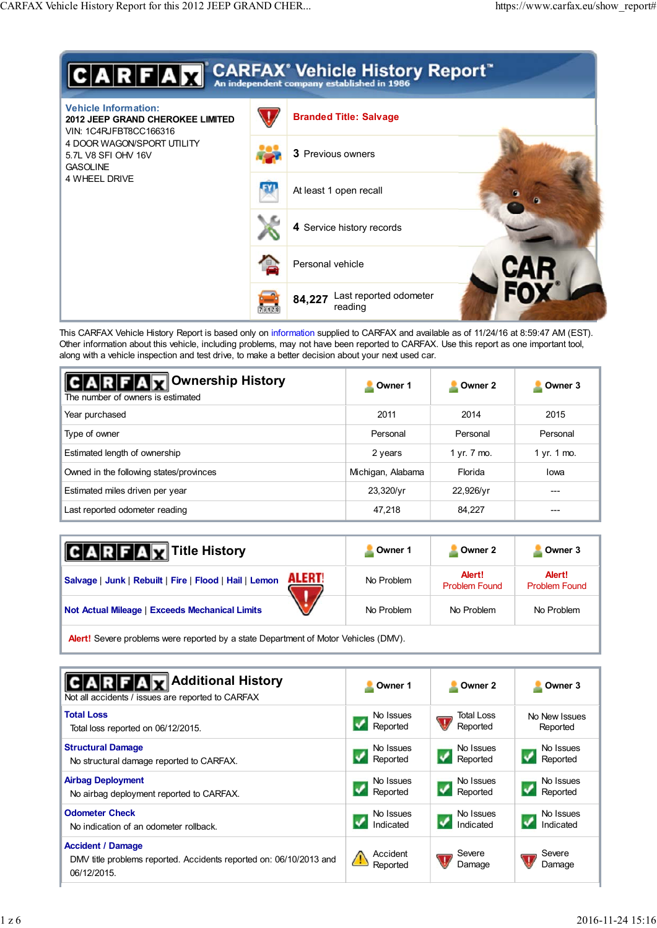

This CARFAX Vehicle History Report is based only on information supplied to CARFAX and available as of 11/24/16 at 8:59:47 AM (EST). Other information about this vehicle, including problems, may not have been reported to CARFAX. Use this report as one important tool, along with a vehicle inspection and test drive, to make a better decision about your next used car.

| <b>RFAX</b> Ownership History<br>The number of owners is estimated | Owner 1           | Owner 2     | Owner 3     |
|--------------------------------------------------------------------|-------------------|-------------|-------------|
| Year purchased                                                     | 2011              | 2014        | 2015        |
| Type of owner                                                      | Personal          | Personal    | Personal    |
| Estimated length of ownership                                      | 2 years           | 1 yr. 7 mo. | 1 yr. 1 mo. |
| Owned in the following states/provinces                            | Michigan, Alabama | Florida     | lowa        |
| Estimated miles driven per year                                    | 23,320/yr         | 22,926/yr   | ---         |
| Last reported odometer reading                                     | 47,218            | 84,227      | ---         |

| <b>ARFAX</b> Title History                                                         | Owner 1    | Owner 2                        | Owner 3                        |  |  |
|------------------------------------------------------------------------------------|------------|--------------------------------|--------------------------------|--|--|
| <b>ALERT!</b><br>Salvage   Junk   Rebuilt   Fire   Flood   Hail   Lemon            | No Problem | Alert!<br><b>Problem Found</b> | Alert!<br><b>Problem Found</b> |  |  |
| <b>Not Actual Mileage   Exceeds Mechanical Limits</b>                              | No Problem | No Problem                     | No Problem                     |  |  |
| Alauti Cougas problems ware reported by a state Department of Mater Vehicles (DMA) |            |                                |                                |  |  |

re problems were reported by a state Department of Motor Vehicles (DMV).

| <b>ARFAX</b> Additional History<br>Not all accidents / issues are reported to CARFAX                          | Owner 1              | Owner 2          | Owner 3          |
|---------------------------------------------------------------------------------------------------------------|----------------------|------------------|------------------|
| <b>Total Loss</b>                                                                                             | No Issues            | Total Loss       | No New Issues    |
| Total loss reported on 06/12/2015.                                                                            | Reported             | Reported         | Reported         |
| <b>Structural Damage</b>                                                                                      | No Issues            | No Issues        | No Issues        |
| No structural damage reported to CARFAX.                                                                      | Reported             | Reported         | Reported         |
| <b>Airbag Deployment</b>                                                                                      | No Issues            | No Issues        | No Issues        |
| No airbag deployment reported to CARFAX.                                                                      | Reported             | Reported         | Reported         |
| <b>Odometer Check</b>                                                                                         | No Issues            | No Issues        | No Issues        |
| No indication of an odometer rollback.                                                                        | Indicated            | Indicated        | Indicated        |
| <b>Accident / Damage</b><br>DMV title problems reported. Accidents reported on: 06/10/2013 and<br>06/12/2015. | Accident<br>Reported | Severe<br>Damage | Severe<br>Damage |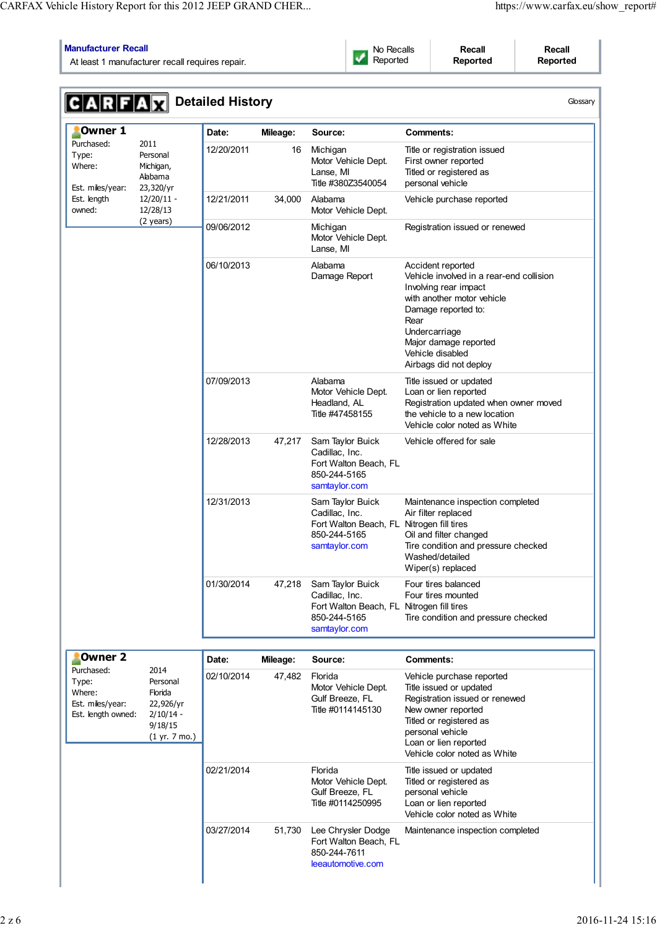# **Manufacturer Recall**

At least 1 manufacturer recall requires repair.

No Recalls Reported

**Recall Reported**

**Recall Reported**

| <b>CARFAX</b> Detailed History                                          |                                                                                     |            |          |                                                                                                                  |                                                                                                                                                                                                                                             | Glossary |
|-------------------------------------------------------------------------|-------------------------------------------------------------------------------------|------------|----------|------------------------------------------------------------------------------------------------------------------|---------------------------------------------------------------------------------------------------------------------------------------------------------------------------------------------------------------------------------------------|----------|
| Owner 1                                                                 |                                                                                     | Date:      | Mileage: | Source:                                                                                                          | Comments:                                                                                                                                                                                                                                   |          |
| Purchased:<br>Type:<br>Where:<br>Est. miles/year:                       | 2011<br>Personal<br>Michigan,<br>Alabama<br>23,320/yr                               | 12/20/2011 | 16       | Michigan<br>Motor Vehicle Dept.<br>Lanse, MI<br>Title #380Z3540054                                               | Title or registration issued<br>First owner reported<br>Titled or registered as<br>personal vehicle                                                                                                                                         |          |
| Est. length<br>owned:                                                   | $12/20/11 -$<br>12/28/13                                                            | 12/21/2011 | 34,000   | Alabama<br>Motor Vehicle Dept.                                                                                   | Vehicle purchase reported                                                                                                                                                                                                                   |          |
|                                                                         | (2 years)                                                                           | 09/06/2012 |          | Michigan<br>Motor Vehicle Dept.<br>Lanse, MI                                                                     | Registration issued or renewed                                                                                                                                                                                                              |          |
|                                                                         |                                                                                     | 06/10/2013 |          | Alabama<br>Damage Report                                                                                         | Accident reported<br>Vehicle involved in a rear-end collision<br>Involving rear impact<br>with another motor vehicle<br>Damage reported to:<br>Rear<br>Undercarriage<br>Major damage reported<br>Vehicle disabled<br>Airbags did not deploy |          |
|                                                                         |                                                                                     | 07/09/2013 |          | Alabama<br>Motor Vehicle Dept.<br>Headland, AL<br>Title #47458155                                                | Title issued or updated<br>Loan or lien reported<br>Registration updated when owner moved<br>the vehicle to a new location<br>Vehicle color noted as White                                                                                  |          |
|                                                                         |                                                                                     | 12/28/2013 | 47,217   | Sam Taylor Buick<br>Cadillac, Inc.<br>Fort Walton Beach, FL<br>850-244-5165<br>samtaylor.com                     | Vehicle offered for sale                                                                                                                                                                                                                    |          |
|                                                                         |                                                                                     | 12/31/2013 |          | Sam Taylor Buick<br>Cadillac, Inc.<br>Fort Walton Beach, FL Nitrogen fill tires<br>850-244-5165<br>samtaylor.com | Maintenance inspection completed<br>Air filter replaced<br>Oil and filter changed<br>Tire condition and pressure checked<br>Washed/detailed<br>Wiper(s) replaced                                                                            |          |
|                                                                         |                                                                                     | 01/30/2014 | 47,218   | Sam Taylor Buick<br>Cadillac, Inc.<br>Fort Walton Beach, FL Nitrogen fill tires<br>850-244-5165<br>samtaylor.com | Four tires balanced<br>Four tires mounted<br>Tire condition and pressure checked                                                                                                                                                            |          |
| Owner <sub>2</sub>                                                      |                                                                                     | Date:      | Mileage: | Source:                                                                                                          | Comments:                                                                                                                                                                                                                                   |          |
| Purchased:<br>Type:<br>Where:<br>Est. miles/year:<br>Est. length owned: | 2014<br>Personal<br>Florida<br>22,926/yr<br>$2/10/14 -$<br>9/18/15<br>(1 yr. 7 mo.) | 02/10/2014 | 47,482   | Florida<br>Motor Vehicle Dept.<br>Gulf Breeze, FL<br>Title #0114145130                                           | Vehicle purchase reported<br>Title issued or updated<br>Registration issued or renewed<br>New owner reported<br>Titled or registered as<br>personal vehicle<br>Loan or lien reported<br>Vehicle color noted as White                        |          |
|                                                                         |                                                                                     | 02/21/2014 |          | Florida<br>Motor Vehicle Dept.<br>Gulf Breeze, FL<br>Title #0114250995                                           | Title issued or updated<br>Titled or registered as<br>personal vehicle<br>Loan or lien reported<br>Vehicle color noted as White                                                                                                             |          |
|                                                                         |                                                                                     | 03/27/2014 | 51,730   | Lee Chrysler Dodge<br>Fort Walton Beach, FL<br>850-244-7611<br>leeautomotive.com                                 | Maintenance inspection completed                                                                                                                                                                                                            |          |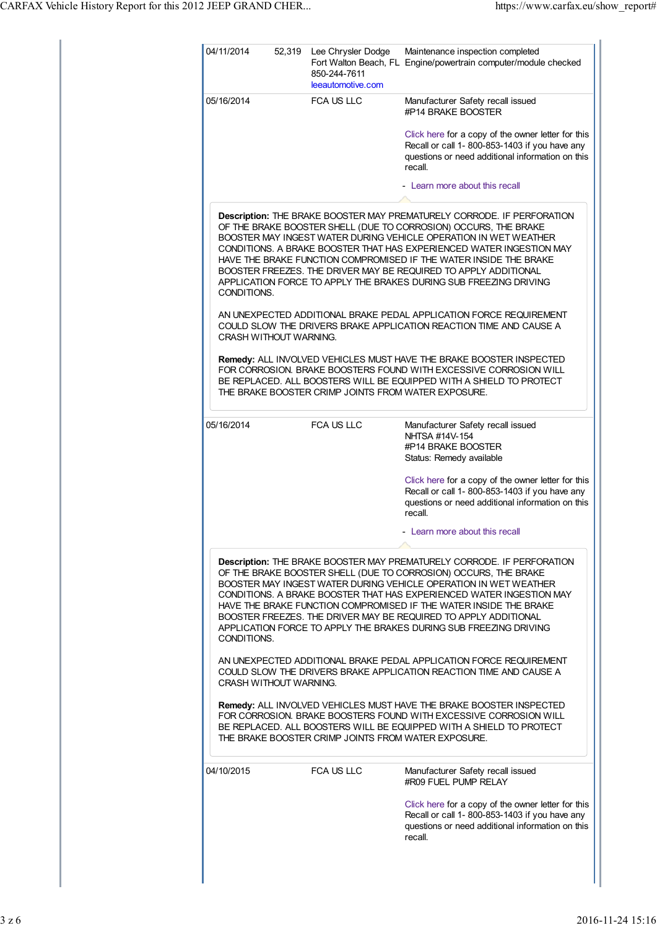|                        | 52,319 Lee Chrysler Dodge<br>850-244-7611<br>leeautomotive.com | Maintenance inspection completed<br>Fort Walton Beach, FL Engine/powertrain computer/module checked                                                                                                                                                                                                                                                                                                                                                                                                |
|------------------------|----------------------------------------------------------------|----------------------------------------------------------------------------------------------------------------------------------------------------------------------------------------------------------------------------------------------------------------------------------------------------------------------------------------------------------------------------------------------------------------------------------------------------------------------------------------------------|
| 05/16/2014             | FCA US LLC                                                     | Manufacturer Safety recall issued<br>#P14 BRAKE BOOSTER                                                                                                                                                                                                                                                                                                                                                                                                                                            |
|                        |                                                                | Click here for a copy of the owner letter for this<br>Recall or call 1-800-853-1403 if you have any<br>questions or need additional information on this<br>recall.                                                                                                                                                                                                                                                                                                                                 |
|                        |                                                                | - Learn more about this recall                                                                                                                                                                                                                                                                                                                                                                                                                                                                     |
| CONDITIONS.            |                                                                | Description: THE BRAKE BOOSTER MAY PREMATURELY CORRODE. IF PERFORATION<br>OF THE BRAKE BOOSTER SHELL (DUE TO CORROSION) OCCURS, THE BRAKE<br>BOOSTER MAY INGEST WATER DURING VEHICLE OPERATION IN WET WEATHER<br>CONDITIONS. A BRAKE BOOSTER THAT HAS EXPERIENCED WATER INGESTION MAY<br>HAVE THE BRAKE FUNCTION COMPROMISED IF THE WATER INSIDE THE BRAKE<br>BOOSTER FREEZES. THE DRIVER MAY BE REQUIRED TO APPLY ADDITIONAL<br>APPLICATION FORCE TO APPLY THE BRAKES DURING SUB FREEZING DRIVING |
| CRASH WITHOUT WARNING. |                                                                | AN UNEXPECTED ADDITIONAL BRAKE PEDAL APPLICATION FORCE REQUIREMENT<br>COULD SLOW THE DRIVERS BRAKE APPLICATION REACTION TIME AND CAUSE A                                                                                                                                                                                                                                                                                                                                                           |
|                        | THE BRAKE BOOSTER CRIMP JOINTS FROM WATER EXPOSURE.            | Remedy: ALL INVOLVED VEHICLES MUST HAVE THE BRAKE BOOSTER INSPECTED<br>FOR CORROSION. BRAKE BOOSTERS FOUND WITH EXCESSIVE CORROSION WILL<br>BE REPLACED. ALL BOOSTERS WILL BE EQUIPPED WITH A SHIELD TO PROTECT                                                                                                                                                                                                                                                                                    |
| 05/16/2014             | <b>FCA US LLC</b>                                              | Manufacturer Safety recall issued<br>NHTSA #14V-154<br>#P14 BRAKE BOOSTER<br>Status: Remedy available                                                                                                                                                                                                                                                                                                                                                                                              |
|                        |                                                                | Click here for a copy of the owner letter for this<br>Recall or call 1-800-853-1403 if you have any<br>questions or need additional information on this<br>recall.                                                                                                                                                                                                                                                                                                                                 |
|                        |                                                                | Learn more about this recall                                                                                                                                                                                                                                                                                                                                                                                                                                                                       |
|                        |                                                                |                                                                                                                                                                                                                                                                                                                                                                                                                                                                                                    |
| CONDITIONS.            |                                                                | Description: THE BRAKE BOOSTER MAY PREMATURELY CORRODE. IF PERFORATION<br>OF THE BRAKE BOOSTER SHELL (DUE TO CORROSION) OCCURS, THE BRAKE<br>BOOSTER MAY INGEST WATER DURING VEHICLE OPERATION IN WET WEATHER<br>CONDITIONS. A BRAKE BOOSTER THAT HAS EXPERIENCED WATER INGESTION MAY<br>HAVE THE BRAKE FUNCTION COMPROMISED IF THE WATER INSIDE THE BRAKE<br>BOOSTER FREEZES. THE DRIVER MAY BE REQUIRED TO APPLY ADDITIONAL<br>APPLICATION FORCE TO APPLY THE BRAKES DURING SUB FREEZING DRIVING |
| CRASH WITHOUT WARNING. |                                                                | AN UNEXPECTED ADDITIONAL BRAKE PEDAL APPLICATION FORCE REQUIREMENT<br>COULD SLOW THE DRIVERS BRAKE APPLICATION REACTION TIME AND CAUSE A                                                                                                                                                                                                                                                                                                                                                           |
|                        | THE BRAKE BOOSTER CRIMP JOINTS FROM WATER EXPOSURE.            | Remedy: ALL INVOLVED VEHICLES MUST HAVE THE BRAKE BOOSTER INSPECTED<br>FOR CORROSION. BRAKE BOOSTERS FOUND WITH EXCESSIVE CORROSION WILL<br>BE REPLACED. ALL BOOSTERS WILL BE EQUIPPED WITH A SHIELD TO PROTECT                                                                                                                                                                                                                                                                                    |
| 04/10/2015             | <b>FCA US LLC</b>                                              | Manufacturer Safety recall issued<br>#R09 FUEL PUMP RELAY                                                                                                                                                                                                                                                                                                                                                                                                                                          |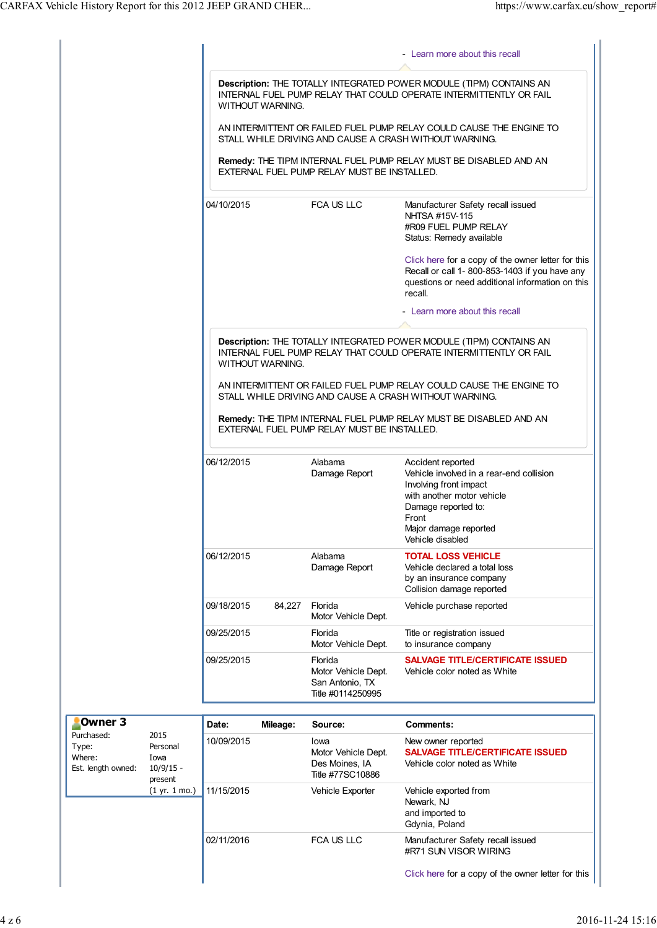|                                                     |                                                    |            |                  |                                                                        | - Learn more about this recall                                                                                                                                                                     |
|-----------------------------------------------------|----------------------------------------------------|------------|------------------|------------------------------------------------------------------------|----------------------------------------------------------------------------------------------------------------------------------------------------------------------------------------------------|
|                                                     |                                                    |            | WITHOUT WARNING. |                                                                        | Description: THE TOTALLY INTEGRATED POWER MODULE (TIPM) CONTAINS AN<br>INTERNAL FUEL PUMP RELAY THAT COULD OPERATE INTERMITTENTLY OR FAIL                                                          |
|                                                     |                                                    |            |                  |                                                                        | AN INTERMITTENT OR FAILED FUEL PUMP RELAY COULD CAUSE THE ENGINE TO<br>STALL WHILE DRIVING AND CAUSE A CRASH WITHOUT WARNING.                                                                      |
|                                                     |                                                    |            |                  | EXTERNAL FUEL PUMP RELAY MUST BE INSTALLED.                            | Remedy: THE TIPM INTERNAL FUEL PUMP RELAY MUST BE DISABLED AND AN                                                                                                                                  |
|                                                     |                                                    | 04/10/2015 |                  | FCA US LLC                                                             | Manufacturer Safety recall issued<br>NHTSA #15V-115<br>#R09 FUEL PUMP RELAY<br>Status: Remedy available                                                                                            |
|                                                     |                                                    |            |                  |                                                                        | Click here for a copy of the owner letter for this<br>Recall or call 1-800-853-1403 if you have any<br>questions or need additional information on this<br>recall.                                 |
|                                                     |                                                    |            |                  |                                                                        | - Learn more about this recall                                                                                                                                                                     |
|                                                     |                                                    |            | WITHOUT WARNING. |                                                                        | Description: THE TOTALLY INTEGRATED POWER MODULE (TIPM) CONTAINS AN<br>INTERNAL FUEL PUMP RELAY THAT COULD OPERATE INTERMITTENTLY OR FAIL                                                          |
|                                                     |                                                    |            |                  |                                                                        | AN INTERMITTENT OR FAILED FUEL PUMP RELAY COULD CAUSE THE ENGINE TO<br>STALL WHILE DRIVING AND CAUSE A CRASH WITHOUT WARNING.                                                                      |
|                                                     |                                                    |            |                  | EXTERNAL FUEL PUMP RELAY MUST BE INSTALLED.                            | Remedy: THE TIPM INTERNAL FUEL PUMP RELAY MUST BE DISABLED AND AN                                                                                                                                  |
|                                                     |                                                    | 06/12/2015 |                  | Alabama<br>Damage Report                                               | Accident reported<br>Vehicle involved in a rear-end collision<br>Involving front impact<br>with another motor vehicle<br>Damage reported to:<br>Front<br>Major damage reported<br>Vehicle disabled |
|                                                     |                                                    | 06/12/2015 |                  | Alabama<br>Damage Report                                               | <b>TOTAL LOSS VEHICLE</b><br>Vehicle declared a total loss<br>by an insurance company<br>Collision damage reported                                                                                 |
|                                                     |                                                    | 09/18/2015 | 84,227           | Florida<br>Motor Vehicle Dept.                                         | Vehicle purchase reported                                                                                                                                                                          |
|                                                     |                                                    | 09/25/2015 |                  | Florida<br>Motor Vehicle Dept.                                         | Title or registration issued<br>to insurance company                                                                                                                                               |
|                                                     |                                                    | 09/25/2015 |                  | Florida<br>Motor Vehicle Dept.<br>San Antonio, TX<br>Title #0114250995 | <b>SALVAGE TITLE/CERTIFICATE ISSUED</b><br>Vehicle color noted as White                                                                                                                            |
| Owner <sub>3</sub>                                  |                                                    | Date:      | Mileage:         | Source:                                                                | <b>Comments:</b>                                                                                                                                                                                   |
| Purchased:<br>Type:<br>Where:<br>Est. length owned: | 2015<br>Personal<br>Iowa<br>$10/9/15 -$<br>present | 10/09/2015 |                  | Iowa<br>Motor Vehicle Dept.<br>Des Moines, IA<br>Title #77SC10886      | New owner reported<br><b>SALVAGE TITLE/CERTIFICATE ISSUED</b><br>Vehicle color noted as White                                                                                                      |
|                                                     | (1 yr. 1 mo.)                                      | 11/15/2015 |                  | Vehicle Exporter                                                       | Vehicle exported from<br>Newark, NJ<br>and imported to<br>Gdynia, Poland                                                                                                                           |
|                                                     |                                                    | 02/11/2016 |                  | FCA US LLC                                                             | Manufacturer Safety recall issued<br>#R71 SUN VISOR WIRING                                                                                                                                         |
|                                                     |                                                    |            |                  |                                                                        | Click here for a copy of the owner letter for this                                                                                                                                                 |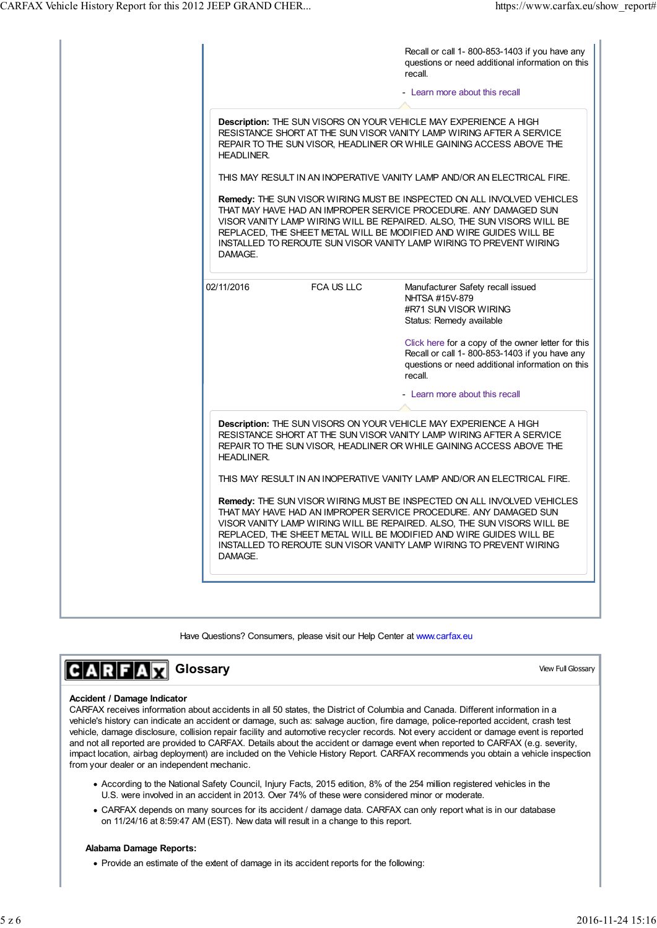| Recall or call 1-800-853-1403 if you have any<br>questions or need additional information on this<br>recall.<br>- Learn more about this recall                                                                                                                                                                                                                      |
|---------------------------------------------------------------------------------------------------------------------------------------------------------------------------------------------------------------------------------------------------------------------------------------------------------------------------------------------------------------------|
| Description: THE SUN VISORS ON YOUR VEHICLE MAY EXPERIENCE A HIGH<br>RESISTANCE SHORT AT THE SUN VISOR VANITY LAMP WIRING AFTER A SERVICE<br>REPAIR TO THE SUN VISOR, HEADLINER OR WHILE GAINING ACCESS ABOVE THE                                                                                                                                                   |
| THIS MAY RESULT IN AN INOPERATIVE VANITY LAMP AND/OR AN ELECTRICAL FIRE.                                                                                                                                                                                                                                                                                            |
| Remedy: THE SUN VISOR WIRING MUST BE INSPECTED ON ALL INVOLVED VEHICLES<br>THAT MAY HAVE HAD AN IMPROPER SERVICE PROCEDURE. ANY DAMAGED SUN<br>VISOR VANITY LAMP WIRING WILL BE REPAIRED. ALSO, THE SUN VISORS WILL BE<br>REPLACED, THE SHEET METAL WILL BE MODIFIED AND WIRE GUIDES WILL BE<br>INSTALLED TO REROUTE SUN VISOR VANITY LAMP WIRING TO PREVENT WIRING |
| Manufacturer Safety recall issued<br>NHTSA #15V-879<br>#R71 SUN VISOR WIRING<br>Status: Remedy available                                                                                                                                                                                                                                                            |
| Click here for a copy of the owner letter for this<br>Recall or call 1-800-853-1403 if you have any<br>questions or need additional information on this<br>recall.                                                                                                                                                                                                  |
| - Learn more about this recall                                                                                                                                                                                                                                                                                                                                      |
| Description: THE SUN VISORS ON YOUR VEHICLE MAY EXPERIENCE A HIGH<br>RESISTANCE SHORT AT THE SUN VISOR VANITY LAMP WIRING AFTER A SERVICE<br>REPAIR TO THE SUN VISOR, HEADLINER OR WHILE GAINING ACCESS ABOVE THE                                                                                                                                                   |
| THIS MAY RESULT IN AN INOPERATIVE VANITY LAMP AND/OR AN ELECTRICAL FIRE.                                                                                                                                                                                                                                                                                            |
| Remedy: THE SUN VISOR WIRING MUST BE INSPECTED ON ALL INVOLVED VEHICLES<br>THAT MAY HAVE HAD AN IMPROPER SERVICE PROCEDURE. ANY DAMAGED SUN<br>VISOR VANITY LAMP WIRING WILL BE REPAIRED. ALSO, THE SUN VISORS WILL BE<br>REPLACED, THE SHEET METAL WILL BE MODIFIED AND WIRE GUIDES WILL BE<br>INSTALLED TO REROUTE SUN VISOR VANITY LAMP WIRING TO PREVENT WIRING |
|                                                                                                                                                                                                                                                                                                                                                                     |

Have Questions? Consumers, please visit our Help Center at www.carfax.eu

# $C|A|R|F|A|\overline{M}$  **Glossary**

# View Full Glossary

# **Accident / Damage Indicator**

CARFAX receives information about accidents in all 50 states, the District of Columbia and Canada. Different information in a vehicle's history can indicate an accident or damage, such as: salvage auction, fire damage, police-reported accident, crash test vehicle, damage disclosure, collision repair facility and automotive recycler records. Not every accident or damage event is reported and not all reported are provided to CARFAX. Details about the accident or damage event when reported to CARFAX (e.g. severity, impact location, airbag deployment) are included on the Vehicle History Report. CARFAX recommends you obtain a vehicle inspection from your dealer or an independent mechanic.

- According to the National Safety Council, Injury Facts, 2015 edition, 8% of the 254 million registered vehicles in the U.S. were involved in an accident in 2013. Over 74% of these were considered minor or moderate.
- CARFAX depends on many sources for its accident / damage data. CARFAX can only report what is in our database on 11/24/16 at 8:59:47 AM (EST). New data will result in a change to this report.

## **Alabama Damage Reports:**

• Provide an estimate of the extent of damage in its accident reports for the following: